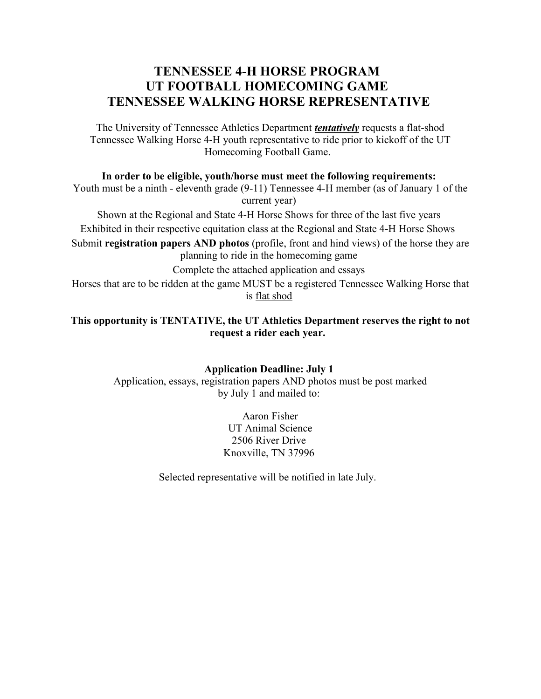## **TENNESSEE 4-H HORSE PROGRAM UT FOOTBALL HOMECOMING GAME TENNESSEE WALKING HORSE REPRESENTATIVE**

The University of Tennessee Athletics Department *tentatively* requests a flat-shod Tennessee Walking Horse 4-H youth representative to ride prior to kickoff of the UT Homecoming Football Game.

**In order to be eligible, youth/horse must meet the following requirements:**

Youth must be a ninth - eleventh grade (9-11) Tennessee 4-H member (as of January 1 of the current year)

Shown at the Regional and State 4-H Horse Shows for three of the last five years Exhibited in their respective equitation class at the Regional and State 4-H Horse Shows

Submit **registration papers AND photos** (profile, front and hind views) of the horse they are planning to ride in the homecoming game

Complete the attached application and essays

Horses that are to be ridden at the game MUST be a registered Tennessee Walking Horse that is flat shod

**This opportunity is TENTATIVE, the UT Athletics Department reserves the right to not request a rider each year.**

> **Application Deadline: July 1** Application, essays, registration papers AND photos must be post marked by July 1 and mailed to:

> > Aaron Fisher UT Animal Science 2506 River Drive Knoxville, TN 37996

Selected representative will be notified in late July.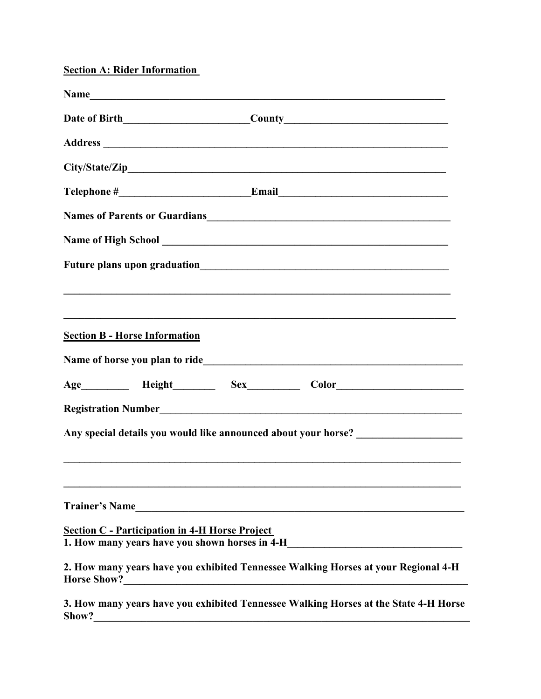**Section A: Rider Information**

|                       |                                                       | Name has a series of the series of the series of the series of the series of the series of the series of the series of the series of the series of the series of the series of the series of the series of the series of the s |  |
|-----------------------|-------------------------------------------------------|--------------------------------------------------------------------------------------------------------------------------------------------------------------------------------------------------------------------------------|--|
|                       |                                                       |                                                                                                                                                                                                                                |  |
|                       |                                                       |                                                                                                                                                                                                                                |  |
|                       |                                                       |                                                                                                                                                                                                                                |  |
|                       |                                                       |                                                                                                                                                                                                                                |  |
|                       |                                                       | Names of Parents or Guardians<br><u>Names</u> of Parents or Guardians                                                                                                                                                          |  |
|                       |                                                       |                                                                                                                                                                                                                                |  |
|                       |                                                       |                                                                                                                                                                                                                                |  |
|                       |                                                       |                                                                                                                                                                                                                                |  |
|                       |                                                       |                                                                                                                                                                                                                                |  |
|                       | <b>Section B - Horse Information</b>                  |                                                                                                                                                                                                                                |  |
|                       |                                                       |                                                                                                                                                                                                                                |  |
|                       |                                                       | Age___________ Height___________ Sex_____________ Color_________________________                                                                                                                                               |  |
|                       |                                                       |                                                                                                                                                                                                                                |  |
|                       |                                                       | Any special details you would like announced about your horse? _________________                                                                                                                                               |  |
|                       |                                                       |                                                                                                                                                                                                                                |  |
|                       |                                                       |                                                                                                                                                                                                                                |  |
| <b>Trainer's Name</b> |                                                       | <u> 1989 - Jan Samuel Barbara, margaret eta idazlea (h. 1989).</u>                                                                                                                                                             |  |
|                       | <b>Section C - Participation in 4-H Horse Project</b> |                                                                                                                                                                                                                                |  |
|                       |                                                       | 1. How many years have you shown horses in 4-H___________________________________                                                                                                                                              |  |
|                       |                                                       | 2. How many years have you exhibited Tennessee Walking Horses at your Regional 4-H                                                                                                                                             |  |
|                       |                                                       | 3. How many years have you exhibited Tennessee Walking Horses at the State 4-H Horse                                                                                                                                           |  |